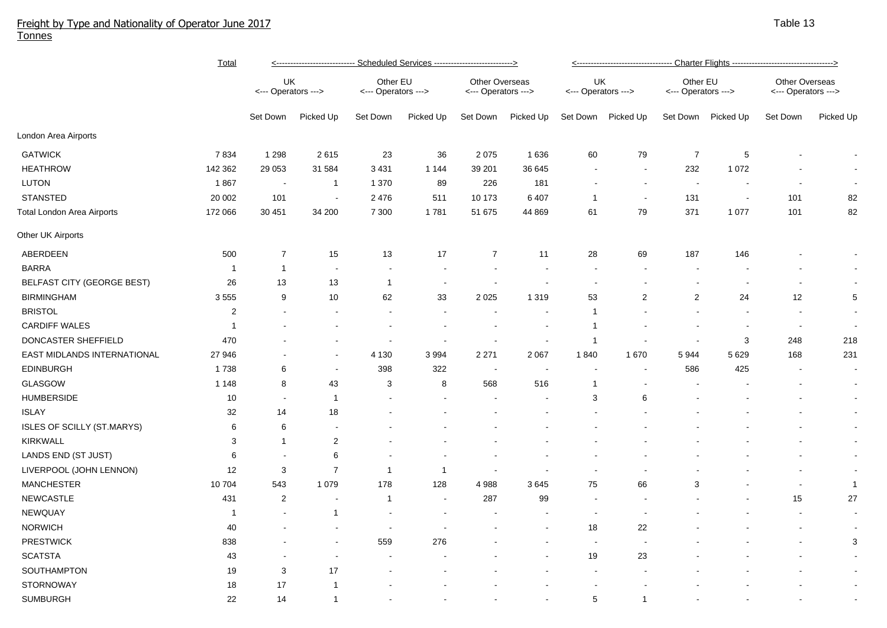## Freight by Type and Nationality of Operator June 2017 Tonnes

|                                   | <b>Total</b>   | <---------------------------- Scheduled Services ----------------------------> |                          |                                 |           |                                              |                          | <---------------------------------- Charter Flights ----------------------------------> |                |                                 |                          |                                              |                |  |
|-----------------------------------|----------------|--------------------------------------------------------------------------------|--------------------------|---------------------------------|-----------|----------------------------------------------|--------------------------|-----------------------------------------------------------------------------------------|----------------|---------------------------------|--------------------------|----------------------------------------------|----------------|--|
|                                   |                | UK<br><--- Operators --->                                                      |                          | Other EU<br><--- Operators ---> |           | <b>Other Overseas</b><br><--- Operators ---> |                          | UK<br><--- Operators --->                                                               |                | Other EU<br><--- Operators ---> |                          | <b>Other Overseas</b><br><--- Operators ---> |                |  |
|                                   |                | Set Down                                                                       | Picked Up                | Set Down                        | Picked Up | Set Down                                     | Picked Up                | Set Down                                                                                | Picked Up      | Set Down                        | Picked Up                | Set Down                                     | Picked Up      |  |
| London Area Airports              |                |                                                                                |                          |                                 |           |                                              |                          |                                                                                         |                |                                 |                          |                                              |                |  |
| <b>GATWICK</b>                    | 7834           | 1 2 9 8                                                                        | 2615                     | 23                              | 36        | 2 0 7 5                                      | 1636                     | 60                                                                                      | 79             | $\overline{7}$                  | $\sqrt{5}$               |                                              |                |  |
| <b>HEATHROW</b>                   | 142 362        | 29 0 53                                                                        | 31 584                   | 3 4 3 1                         | 1 1 4 4   | 39 201                                       | 36 645                   |                                                                                         |                | 232                             | 1 0 7 2                  |                                              |                |  |
| <b>LUTON</b>                      | 1867           | $\blacksquare$                                                                 | $\mathbf{1}$             | 1 370                           | 89        | 226                                          | 181                      |                                                                                         | $\blacksquare$ | $\sim$                          | $\overline{\phantom{a}}$ |                                              |                |  |
| <b>STANSTED</b>                   | 20 002         | 101                                                                            | $\overline{\phantom{a}}$ | 2 4 7 6                         | 511       | 10 173                                       | 6407                     | $\overline{1}$                                                                          | $\sim$         | 131                             | $\sim$                   | 101                                          | 82             |  |
| Total London Area Airports        | 172 066        | 30 451                                                                         | 34 200                   | 7 300                           | 1781      | 51 675                                       | 44 869                   | 61                                                                                      | 79             | 371                             | 1 0 7 7                  | 101                                          | 82             |  |
| Other UK Airports                 |                |                                                                                |                          |                                 |           |                                              |                          |                                                                                         |                |                                 |                          |                                              |                |  |
| ABERDEEN                          | 500            | $\overline{7}$                                                                 | 15                       | 13                              | 17        | $\overline{7}$                               | 11                       | 28                                                                                      | 69             | 187                             | 146                      |                                              |                |  |
| <b>BARRA</b>                      | $\overline{1}$ | 1                                                                              | $\overline{\phantom{a}}$ | $\sim$                          |           |                                              |                          | $\sim$                                                                                  |                |                                 |                          |                                              |                |  |
| BELFAST CITY (GEORGE BEST)        | 26             | 13                                                                             | 13                       | $\overline{1}$                  |           |                                              |                          |                                                                                         |                |                                 |                          |                                              |                |  |
| <b>BIRMINGHAM</b>                 | 3555           | 9                                                                              | 10                       | 62                              | 33        | 2 0 2 5                                      | 1 3 1 9                  | 53                                                                                      | $\overline{2}$ | $\overline{2}$                  | 24                       | 12                                           | 5              |  |
| <b>BRISTOL</b>                    | $\overline{2}$ |                                                                                |                          |                                 |           |                                              |                          | $\overline{1}$                                                                          |                |                                 |                          |                                              | $\sim$         |  |
| <b>CARDIFF WALES</b>              | $\mathbf 1$    |                                                                                |                          |                                 |           |                                              |                          | -1                                                                                      |                |                                 |                          | $\sim$                                       | $\sim$         |  |
| DONCASTER SHEFFIELD               | 470            |                                                                                |                          | $\blacksquare$                  |           |                                              | $\overline{\phantom{a}}$ | $\overline{1}$                                                                          |                |                                 | 3                        | 248                                          | 218            |  |
| EAST MIDLANDS INTERNATIONAL       | 27 946         |                                                                                |                          | 4 1 3 0                         | 3994      | 2 2 7 1                                      | 2 0 6 7                  | 1840                                                                                    | 1670           | 5944                            | 5 6 2 9                  | 168                                          | 231            |  |
| <b>EDINBURGH</b>                  | 1738           | 6                                                                              | $\overline{\phantom{a}}$ | 398                             | 322       |                                              |                          |                                                                                         |                | 586                             | 425                      |                                              | $\blacksquare$ |  |
| <b>GLASGOW</b>                    | 1 1 4 8        | 8                                                                              | 43                       | 3                               | 8         | 568                                          | 516                      | -1                                                                                      |                |                                 |                          |                                              | $\sim$         |  |
| <b>HUMBERSIDE</b>                 | 10             | $\overline{\phantom{a}}$                                                       | $\mathbf{1}$             |                                 |           |                                              |                          | 3                                                                                       | 6              |                                 |                          |                                              | $\sim$         |  |
| <b>ISLAY</b>                      | 32             | 14                                                                             | 18                       |                                 |           |                                              |                          |                                                                                         |                |                                 |                          |                                              | $\sim$         |  |
| <b>ISLES OF SCILLY (ST.MARYS)</b> | 6              | 6                                                                              | $\overline{\phantom{a}}$ |                                 |           |                                              |                          |                                                                                         |                |                                 |                          |                                              | $\sim$         |  |
| <b>KIRKWALL</b>                   | 3              | $\mathbf{1}$                                                                   | $\sqrt{2}$               |                                 |           |                                              |                          |                                                                                         |                |                                 |                          |                                              | $\sim$         |  |
| LANDS END (ST JUST)               | 6              |                                                                                | 6                        |                                 |           |                                              |                          |                                                                                         |                |                                 |                          |                                              | $\sim$         |  |
| LIVERPOOL (JOHN LENNON)           | 12             | 3                                                                              | $\overline{7}$           | -1                              | -1        |                                              |                          |                                                                                         |                |                                 |                          |                                              | $\sim$         |  |
| <b>MANCHESTER</b>                 | 10 704         | 543                                                                            | 1 0 7 9                  | 178                             | 128       | 4988                                         | 3645                     | 75                                                                                      | 66             | 3                               |                          | $\blacksquare$                               | $\mathbf{1}$   |  |
| <b>NEWCASTLE</b>                  | 431            | $\boldsymbol{2}$                                                               | $\overline{\phantom{a}}$ | -1                              |           | 287                                          | 99                       | $\sim$                                                                                  |                |                                 |                          | 15                                           | 27             |  |
| NEWQUAY                           | -1             |                                                                                | $\mathbf{1}$             |                                 |           |                                              |                          |                                                                                         |                |                                 |                          |                                              | $\sim$         |  |
| <b>NORWICH</b>                    | 40             |                                                                                |                          |                                 |           |                                              |                          | 18                                                                                      | 22             |                                 |                          | ÷,                                           | $\sim$         |  |
| <b>PRESTWICK</b>                  | 838            |                                                                                |                          | 559                             | 276       |                                              |                          | $\overline{\phantom{a}}$                                                                |                |                                 |                          |                                              | 3              |  |
| <b>SCATSTA</b>                    | 43             |                                                                                |                          |                                 |           |                                              |                          | 19                                                                                      | 23             |                                 |                          |                                              | $\sim$         |  |
| SOUTHAMPTON                       | 19             | 3                                                                              | 17                       |                                 |           |                                              |                          |                                                                                         |                |                                 |                          |                                              | $\sim$         |  |
| STORNOWAY                         | 18             | 17                                                                             | $\overline{1}$           |                                 |           |                                              |                          |                                                                                         |                |                                 |                          |                                              | $\sim$         |  |
| <b>SUMBURGH</b>                   | 22             | 14                                                                             | $\mathbf{1}$             |                                 |           |                                              |                          | 5                                                                                       | $\overline{1}$ |                                 |                          |                                              |                |  |